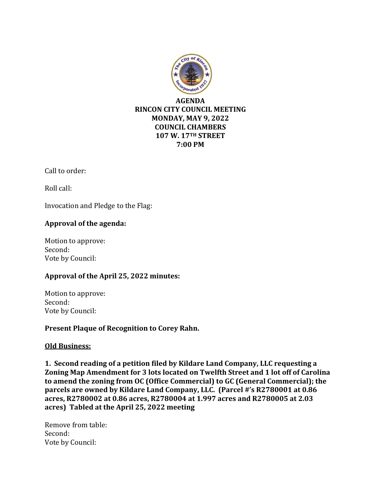

Call to order:

Roll call:

Invocation and Pledge to the Flag:

## **Approval of the agenda:**

Motion to approve: Second: Vote by Council:

## **Approval of the April 25, 2022 minutes:**

Motion to approve: Second: Vote by Council:

**Present Plaque of Recognition to Corey Rahn.** 

## **Old Business:**

**1. Second reading of a petition filed by Kildare Land Company, LLC requesting a Zoning Map Amendment for 3 lots located on Twelfth Street and 1 lot off of Carolina to amend the zoning from OC (Office Commercial) to GC (General Commercial); the parcels are owned by Kildare Land Company, LLC. (Parcel #'s R2780001 at 0.86 acres, R2780002 at 0.86 acres, R2780004 at 1.997 acres and R2780005 at 2.03 acres) Tabled at the April 25, 2022 meeting**

Remove from table: Second: Vote by Council: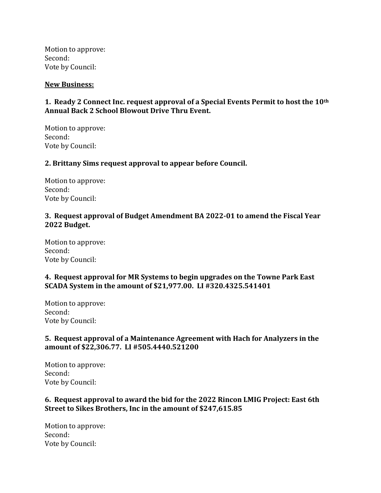Motion to approve: Second: Vote by Council:

#### **New Business:**

## **1. Ready 2 Connect Inc. request approval of a Special Events Permit to host the 10th Annual Back 2 School Blowout Drive Thru Event.**

Motion to approve: Second: Vote by Council:

#### **2. Brittany Sims request approval to appear before Council.**

Motion to approve: Second: Vote by Council:

#### **3. Request approval of Budget Amendment BA 2022-01 to amend the Fiscal Year 2022 Budget.**

Motion to approve: Second: Vote by Council:

## **4. Request approval for MR Systems to begin upgrades on the Towne Park East SCADA System in the amount of \$21,977.00. LI #320.4325.541401**

Motion to approve: Second: Vote by Council:

## **5. Request approval of a Maintenance Agreement with Hach for Analyzers in the amount of \$22,306.77. LI #505.4440.521200**

Motion to approve: Second: Vote by Council:

#### **6. Request approval to award the bid for the 2022 Rincon LMIG Project: East 6th Street to Sikes Brothers, Inc in the amount of \$247,615.85**

Motion to approve: Second: Vote by Council: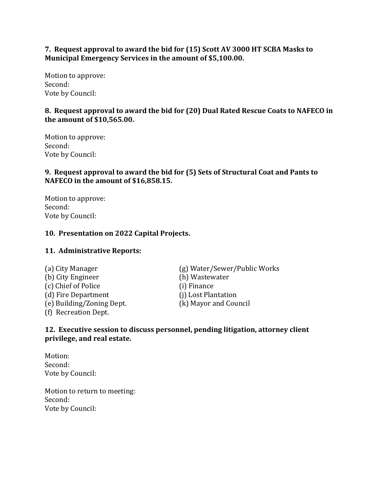## **7. Request approval to award the bid for (15) Scott AV 3000 HT SCBA Masks to Municipal Emergency Services in the amount of \$5,100.00.**

Motion to approve: Second: Vote by Council:

## **8. Request approval to award the bid for (20) Dual Rated Rescue Coats to NAFECO in the amount of \$10,565.00.**

Motion to approve: Second: Vote by Council:

# **9. Request approval to award the bid for (5) Sets of Structural Coat and Pants to NAFECO in the amount of \$16,858.15.**

Motion to approve: Second: Vote by Council:

## **10. Presentation on 2022 Capital Projects.**

## **11. Administrative Reports:**

(b) City Engineer (h) Wastewater (c) Chief of Police (i) Finance (d) Fire Department (j) Lost Plantation (e) Building/Zoning Dept. (k) Mayor and Council (f) Recreation Dept.

(a) City Manager (g) Water/Sewer/Public Works

## **12. Executive session to discuss personnel, pending litigation, attorney client privilege, and real estate.**

Motion: Second: Vote by Council:

Motion to return to meeting: Second: Vote by Council: